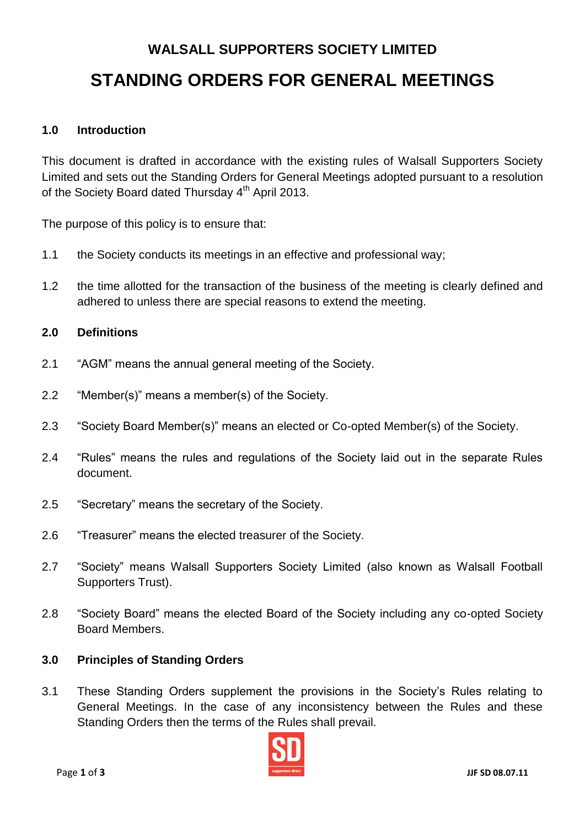# **WALSALL SUPPORTERS SOCIETY LIMITED STANDING ORDERS FOR GENERAL MEETINGS**

# **1.0 Introduction**

This document is drafted in accordance with the existing rules of Walsall Supporters Society Limited and sets out the Standing Orders for General Meetings adopted pursuant to a resolution of the Society Board dated Thursday 4<sup>th</sup> April 2013.

The purpose of this policy is to ensure that:

- 1.1 the Society conducts its meetings in an effective and professional way;
- 1.2 the time allotted for the transaction of the business of the meeting is clearly defined and adhered to unless there are special reasons to extend the meeting.

### **2.0 Definitions**

- 2.1 "AGM" means the annual general meeting of the Society.
- 2.2 "Member(s)" means a member(s) of the Society.
- 2.3 "Society Board Member(s)" means an elected or Co-opted Member(s) of the Society.
- 2.4 "Rules" means the rules and regulations of the Society laid out in the separate Rules document.
- 2.5 "Secretary" means the secretary of the Society.
- 2.6 "Treasurer" means the elected treasurer of the Society.
- 2.7 "Society" means Walsall Supporters Society Limited (also known as Walsall Football Supporters Trust).
- 2.8 "Society Board" means the elected Board of the Society including any co-opted Society Board Members.

#### **3.0 Principles of Standing Orders**

3.1 These Standing Orders supplement the provisions in the Society's Rules relating to General Meetings. In the case of any inconsistency between the Rules and these Standing Orders then the terms of the Rules shall prevail.

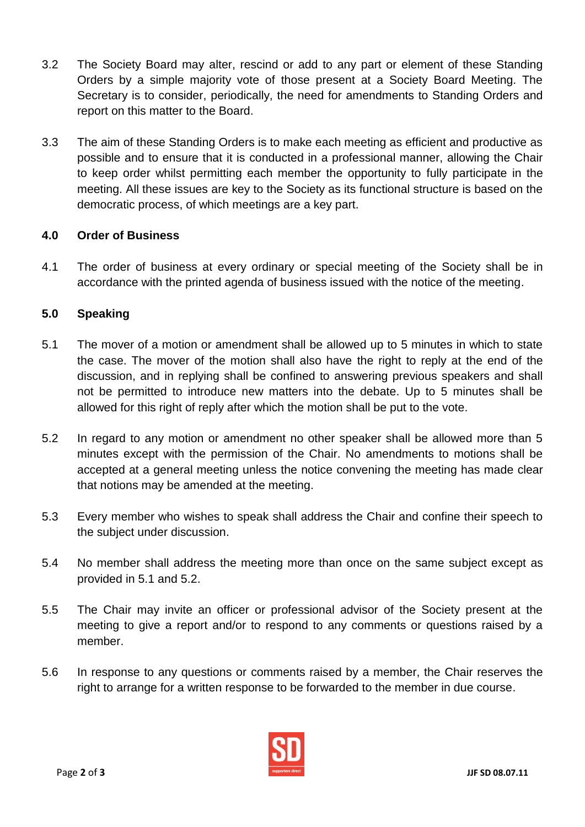- 3.2 The Society Board may alter, rescind or add to any part or element of these Standing Orders by a simple majority vote of those present at a Society Board Meeting. The Secretary is to consider, periodically, the need for amendments to Standing Orders and report on this matter to the Board.
- 3.3 The aim of these Standing Orders is to make each meeting as efficient and productive as possible and to ensure that it is conducted in a professional manner, allowing the Chair to keep order whilst permitting each member the opportunity to fully participate in the meeting. All these issues are key to the Society as its functional structure is based on the democratic process, of which meetings are a key part.

# **4.0 Order of Business**

4.1 The order of business at every ordinary or special meeting of the Society shall be in accordance with the printed agenda of business issued with the notice of the meeting.

# **5.0 Speaking**

- 5.1 The mover of a motion or amendment shall be allowed up to 5 minutes in which to state the case. The mover of the motion shall also have the right to reply at the end of the discussion, and in replying shall be confined to answering previous speakers and shall not be permitted to introduce new matters into the debate. Up to 5 minutes shall be allowed for this right of reply after which the motion shall be put to the vote.
- 5.2 In regard to any motion or amendment no other speaker shall be allowed more than 5 minutes except with the permission of the Chair. No amendments to motions shall be accepted at a general meeting unless the notice convening the meeting has made clear that notions may be amended at the meeting.
- 5.3 Every member who wishes to speak shall address the Chair and confine their speech to the subject under discussion.
- 5.4 No member shall address the meeting more than once on the same subject except as provided in 5.1 and 5.2.
- 5.5 The Chair may invite an officer or professional advisor of the Society present at the meeting to give a report and/or to respond to any comments or questions raised by a member.
- 5.6 In response to any questions or comments raised by a member, the Chair reserves the right to arrange for a written response to be forwarded to the member in due course.